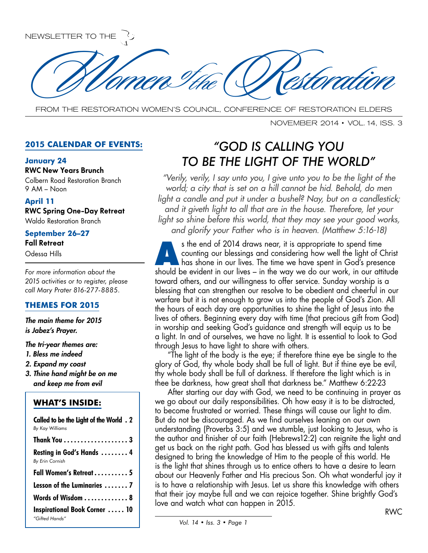

FROM THE RESTORATION WOMEN'S COUNCIL, CONFERENCE OF RESTORATION ELDERS

NOVEMBER 2014 • VOL. 14, ISS. 3

### **2015 CALENDAR OF EVENTS:**

### **January 24**

**RWC New Years Brunch** Colbern Road Restoration Branch 9 AM – Noon

### **April 11**

**RWC Spring One-Day Retreat**  Waldo Restoration Branch

### **September 26–27**

**Fall Retreat** Odessa Hills

*For more information about the 2015 activities or to register, please call Mary Prater 816-277-8885.*

### **THEMES FOR 2015**

*The main theme for 2015 is Jabez's Prayer.*

*The tri-year themes are:*

- *1. Bless me indeed*
- *2. Expand my coast*
- *3. Thine hand might be on me and keep me from evil*

### **WHAT'S INSIDE:**

| Called to be the Light of the World. 2<br><b>By Kay Williams</b> |
|------------------------------------------------------------------|
| <b>Thank You  3</b>                                              |
| <b>Resting in God's Hands  4</b><br>By Erin Cornish              |
| <b>Fall Women's Retreat  5</b>                                   |
| Lesson of the Luminaries 7                                       |
| Words of Wisdom 8                                                |
| <b>Inspirational Book Corner  10</b><br>"Gifted Hands"           |

### *"GOD IS CALLING YOU TO BE THE LIGHT OF THE WORLD"*

*"Verily, verily, I say unto you, I give unto you to be the light of the world; a city that is set on a hill cannot be hid. Behold, do men light a candle and put it under a bushel? Nay, but on a candlestick; and it giveth light to all that are in the house. Therefore, let your*  light so shine before this world, that they may see your good works, *and glorify your Father who is in heaven. (Matthew 5:16-18)*

s the end of 2014 draws near, it is appropriate to spend time<br>counting our blessings and considering how well the light of C<br>has shone in our lives. The time we have spent in God's prese<br>chaud be avident in our lives sin t counting our blessings and considering how well the light of Christ has shone in our lives. The time we have spent in God's presence should be evident in our lives – in the way we do our work, in our attitude toward others, and our willingness to offer service. Sunday worship is a blessing that can strengthen our resolve to be obedient and cheerful in our warfare but it is not enough to grow us into the people of God's Zion. All the hours of each day are opportunities to shine the light of Jesus into the lives of others. Beginning every day with time (that precious gift from God) in worship and seeking God's guidance and strength will equip us to be a light. In and of ourselves, we have no light. It is essential to look to God through Jesus to have light to share with others.

"The light of the body is the eye; if therefore thine eye be single to the glory of God, thy whole body shall be full of light. But if thine eye be evil, thy whole body shall be full of darkness. If therefore the light which is in thee be darkness, how great shall that darkness be." Matthew 6:22-23

After starting our day with God, we need to be continuing in prayer as we go about our daily responsibilities. Oh how easy it is to be distracted, to become frustrated or worried. These things will cause our light to dim. But do not be discouraged. As we find ourselves leaning on our own understanding (Proverbs 3:5) and we stumble, just looking to Jesus, who is the author and finisher of our faith (Hebrews12:2) can reignite the light and get us back on the right path. God has blessed us with gifts and talents designed to bring the knowledge of Him to the people of this world. He is the light that shines through us to entice others to have a desire to learn about our Heavenly Father and His precious Son. Oh what wonderful joy it is to have a relationship with Jesus. Let us share this knowledge with others that their joy maybe full and we can rejoice together. Shine brightly God's love and watch what can happen in 2015.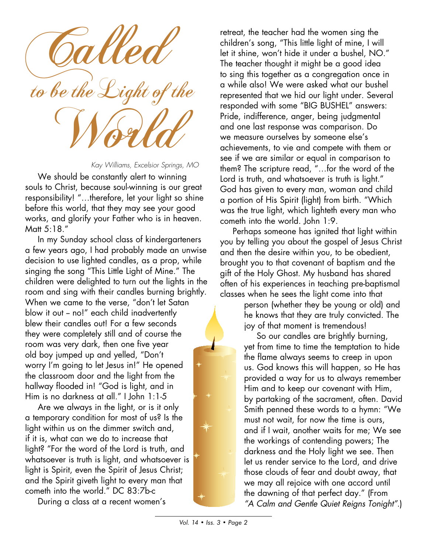Called to be the Light of the World

*Kay Williams, Excelsior Springs, MO*

We should be constantly alert to winning souls to Christ, because soul-winning is our great responsibility! "…therefore, let your light so shine before this world, that they may see your good works, and glorify your Father who is in heaven. Matt 5:18."

In my Sunday school class of kindergarteners a few years ago, I had probably made an unwise decision to use lighted candles, as a prop, while singing the song "This Little Light of Mine." The children were delighted to turn out the lights in the room and sing with their candles burning brightly. When we came to the verse, "don't let Satan blow it out - no!" each child inadvertently blew their candles out! For a few seconds they were completely still and of course the room was very dark, then one five year old boy jumped up and yelled, "Don't worry I'm going to let Jesus in!" He opened the classroom door and the light from the hallway flooded in! "God is light, and in Him is no darkness at all." I John 1:1-5

Are we always in the light, or is it only a temporary condition for most of us? Is the light within us on the dimmer switch and, if it is, what can we do to increase that light? "For the word of the Lord is truth, and whatsoever is truth is light, and whatsoever is light is Spirit, even the Spirit of Jesus Christ; and the Spirit giveth light to every man that cometh into the world." DC 83:7b-c

During a class at a recent women's

retreat, the teacher had the women sing the children's song, "This little light of mine, I will let it shine, won't hide it under a bushel, NO." The teacher thought it might be a good idea to sing this together as a congregation once in a while also! We were asked what our bushel represented that we hid our light under. Several responded with some "BIG BUSHEL" answers: Pride, indifference, anger, being judgmental and one last response was comparison. Do we measure ourselves by someone else's achievements, to vie and compete with them or see if we are similar or equal in comparison to them? The scripture read, "…for the word of the Lord is truth, and whatsoever is truth is light." God has given to every man, woman and child a portion of His Spirit (light) from birth. "Which was the true light, which lighteth every man who cometh into the world. John 1:9.

Perhaps someone has ignited that light within you by telling you about the gospel of Jesus Christ and then the desire within you, to be obedient, brought you to that covenant of baptism and the gift of the Holy Ghost. My husband has shared often of his experiences in teaching pre-baptismal classes when he sees the light come into that

> person (whether they be young or old) and he knows that they are truly convicted. The joy of that moment is tremendous!

So our candles are brightly burning, yet from time to time the temptation to hide the flame always seems to creep in upon us. God knows this will happen, so He has provided a way for us to always remember Him and to keep our covenant with Him, by partaking of the sacrament, often. David Smith penned these words to a hymn: "We must not wait, for now the time is ours, and if I wait, another waits for me; We see the workings of contending powers; The darkness and the Holy light we see. Then let us render service to the Lord, and drive those clouds of fear and doubt away, that we may all rejoice with one accord until the dawning of that perfect day." (From *"A Calm and Gentle Quiet Reigns Tonight"*.)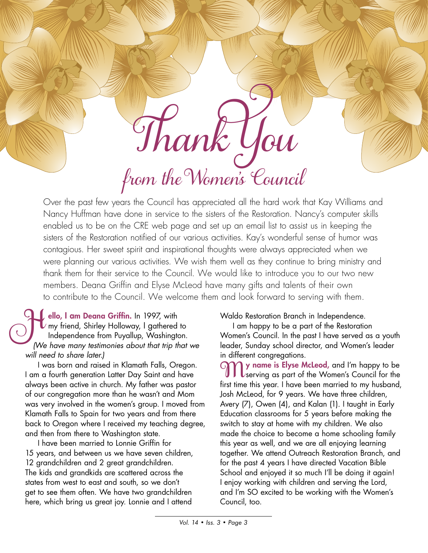# *Thank You from the Women' s Council*

Over the past few years the Council has appreciated all the hard work that Kay Williams and Nancy Huffman have done in service to the sisters of the Restoration. Nancy's computer skills enabled us to be on the CRE web page and set up an email list to assist us in keeping the sisters of the Restoration notified of our various activities. Kay's wonderful sense of humor was contagious. Her sweet spirit and inspirational thoughts were always appreciated when we were planning our various activities. We wish them well as they continue to bring ministry and thank them for their service to the Council. We would like to introduce you to our two new members. Deana Griffin and Elyse McLeod have many gifts and talents of their own to contribute to the Council. We welcome them and look forward to serving with them.

**Hello, I am Deana Griffin.** In 1997, with<br>Imperiod, Shirley Holloway, I gathered<br>Independence from Puyallup, Washington my friend, Shirley Holloway, I gathered to Independence from Puyallup, Washington. *(We have many testimonies about that trip that we will need to share later.)*

I was born and raised in Klamath Falls, Oregon. I am a fourth generation Latter Day Saint and have always been active in church. My father was pastor of our congregation more than he wasn't and Mom was very involved in the women's group. I moved from Klamath Falls to Spain for two years and from there back to Oregon where I received my teaching degree, and then from there to Washington state.

I have been married to Lonnie Griffin for 15 years, and between us we have seven children, 12 grandchildren and 2 great grandchildren. The kids and grandkids are scattered across the states from west to east and south, so we don't get to see them often. We have two grandchildren here, which bring us great joy. Lonnie and I attend

Waldo Restoration Branch in Independence.

I am happy to be a part of the Restoration Women's Council. In the past I have served as a youth leader, Sunday school director, and Women's leader in different congregations.

**My name is Elyse McLeod, and I'm happy to be**  $\mathcal V$ serving as part of the Women's Council for the first time this year. I have been married to my husband, Josh McLeod, for 9 years. We have three children, Avery (7), Owen (4), and Kalan (1). I taught in Early Education classrooms for 5 years before making the switch to stay at home with my children. We also made the choice to become a home schooling family this year as well, and we are all enjoying learning together. We attend Outreach Restoration Branch, and for the past 4 years I have directed Vacation Bible School and enjoyed it so much I'll be doing it again! I enjoy working with children and serving the Lord, and I'm SO excited to be working with the Women's Council, too.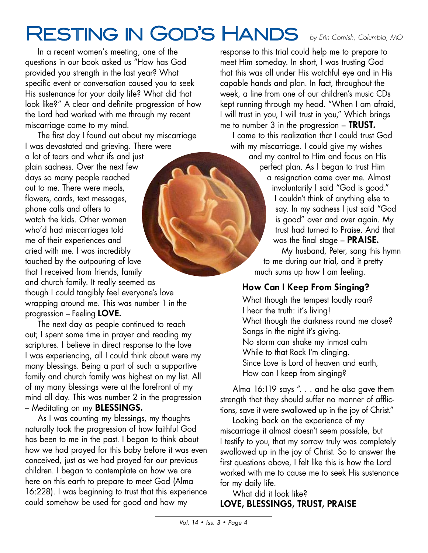## RESTING IN GOD'S HANDS *by Erin Cornish, Columbia, MO*

In a recent women's meeting, one of the questions in our book asked us "How has God provided you strength in the last year? What specific event or conversation caused you to seek His sustenance for your daily life? What did that look like?" A clear and definite progression of how the Lord had worked with me through my recent miscarriage came to my mind.

The first day I found out about my miscarriage I was devastated and grieving. There were

a lot of tears and what ifs and just plain sadness. Over the next few days so many people reached out to me. There were meals, flowers, cards, text messages, phone calls and offers to watch the kids. Other women who'd had miscarriages told me of their experiences and cried with me. I was incredibly touched by the outpouring of love that I received from friends, family and church family. It really seemed as though I could tangibly feel everyone's love wrapping around me. This was number 1 in the progression – Feeling **LOVE.**

The next day as people continued to reach out; I spent some time in prayer and reading my scriptures. I believe in direct response to the love I was experiencing, all I could think about were my many blessings. Being a part of such a supportive family and church family was highest on my list. All of my many blessings were at the forefront of my mind all day. This was number 2 in the progression – Meditating on my **BLESSINGS.**

As I was counting my blessings, my thoughts naturally took the progression of how faithful God has been to me in the past. I began to think about how we had prayed for this baby before it was even conceived, just as we had prayed for our previous children. I began to contemplate on how we are here on this earth to prepare to meet God (Alma 16:228). I was beginning to trust that this experience could somehow be used for good and how my

response to this trial could help me to prepare to meet Him someday. In short, I was trusting God that this was all under His watchful eye and in His capable hands and plan. In fact, throughout the week, a line from one of our children's music CDs kept running through my head. "When I am afraid, I will trust in you, I will trust in you," Which brings me to number 3 in the progression – **TRUST.** I came to this realization that I could trust God with my miscarriage. I could give my wishes and my control to Him and focus on His perfect plan. As I began to trust Him a resignation came over me. Almost involuntarily I said "God is good." I couldn't think of anything else to say. In my sadness I just said "God is good" over and over again. My trust had turned to Praise. And that was the final stage – **PRAISE.** My husband, Peter, sang this hymn

to me during our trial, and it pretty much sums up how I am feeling.

### **How Can I Keep From Singing?**

What though the tempest loudly roar? I hear the truth: it's living! What though the darkness round me close? Songs in the night it's giving. No storm can shake my inmost calm While to that Rock I'm clinging. Since Love is Lord of heaven and earth, How can I keep from singing?

Alma 16:119 says ". . . and he also gave them strength that they should suffer no manner of afflictions, save it were swallowed up in the joy of Christ."

Looking back on the experience of my miscarriage it almost doesn't seem possible, but I testify to you, that my sorrow truly was completely swallowed up in the joy of Christ. So to answer the first questions above, I felt like this is how the Lord worked with me to cause me to seek His sustenance for my daily life.

What did it look like? **LOVE, BLESSINGS, TRUST, PRAISE**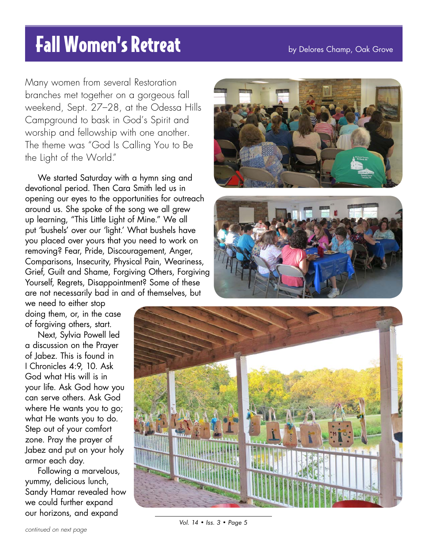## Fall Women's Retreat by Delores Champ, Oak Grove

Many women from several Restoration branches met together on a gorgeous fall weekend, Sept. 27–28, at the Odessa Hills Campground to bask in God's Spirit and worship and fellowship with one another. The theme was "God Is Calling You to Be the Light of the World."

We started Saturday with a hymn sing and devotional period. Then Cara Smith led us in opening our eyes to the opportunities for outreach around us. She spoke of the song we all grew up learning, "This Little Light of Mine." We all put 'bushels' over our 'light.' What bushels have you placed over yours that you need to work on removing? Fear, Pride, Discouragement, Anger, Comparisons, Insecurity, Physical Pain, Weariness, Grief, Guilt and Shame, Forgiving Others, Forgiving Yourself, Regrets, Disappointment? Some of these are not necessarily bad in and of themselves, but

we need to either stop doing them, or, in the case of forgiving others, start.

Next, Sylvia Powell led a discussion on the Prayer of Jabez. This is found in I Chronicles 4:9, 10. Ask God what His will is in your life. Ask God how you can serve others. Ask God where He wants you to go; what He wants you to do. Step out of your comfort zone. Pray the prayer of Jabez and put on your holy armor each day.

Following a marvelous, yummy, delicious lunch, Sandy Hamar revealed how we could further expand our horizons, and expand







*Vol. 14 • Iss. 3 • Page 5*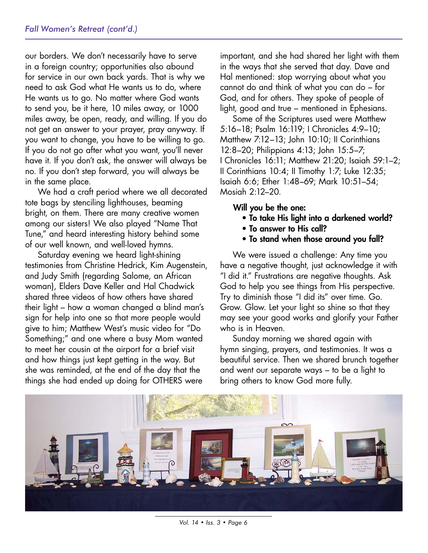our borders. We don't necessarily have to serve in a foreign country; opportunities also abound for service in our own back yards. That is why we need to ask God what He wants us to do, where He wants us to go. No matter where God wants to send you, be it here, 10 miles away, or 1000 miles away, be open, ready, and willing. If you do not get an answer to your prayer, pray anyway. If you want to change, you have to be willing to go. If you do not go after what you want, you'll never have it. If you don't ask, the answer will always be no. If you don't step forward, you will always be in the same place.

We had a craft period where we all decorated tote bags by stenciling lighthouses, beaming bright, on them. There are many creative women among our sisters! We also played "Name That Tune," and heard interesting history behind some of our well known, and well-loved hymns.

Saturday evening we heard light-shining testimonies from Christine Hedrick, Kim Augenstein, and Judy Smith (regarding Salome, an African woman), Elders Dave Keller and Hal Chadwick shared three videos of how others have shared their light – how a woman changed a blind man's sign for help into one so that more people would give to him; Matthew West's music video for "Do Something;" and one where a busy Mom wanted to meet her cousin at the airport for a brief visit and how things just kept getting in the way. But she was reminded, at the end of the day that the things she had ended up doing for OTHERS were

important, and she had shared her light with them in the ways that she served that day. Dave and Hal mentioned: stop worrying about what you cannot do and think of what you can do – for God, and for others. They spoke of people of light, good and true – mentioned in Ephesians.

Some of the Scriptures used were Matthew 5:16–18; Psalm 16:119; I Chronicles 4:9–10; Matthew 7:12–13; John 10:10; II Corinthians 12:8–20; Philippians 4:13; John 15:5–7; I Chronicles 16:11; Matthew 21:20; Isaiah 59:1–2; II Corinthians 10:4; II Timothy 1:7; Luke 12:35; Isaiah 6:6; Ether 1:48–69; Mark 10:51–54; Mosiah 2:12–20.

Will you be the one:

- To take His light into a darkened world?
- To answer to His call?
- To stand when those around you fall?

We were issued a challenge: Any time you have a negative thought, just acknowledge it with "I did it." Frustrations are negative thoughts. Ask God to help you see things from His perspective. Try to diminish those "I did its" over time. Go. Grow. Glow. Let your light so shine so that they may see your good works and glorify your Father who is in Heaven.

Sunday morning we shared again with hymn singing, prayers, and testimonies. It was a beautiful service. Then we shared brunch together and went our separate ways – to be a light to bring others to know God more fully.



*Vol. 14 • Iss. 3 • Page 6*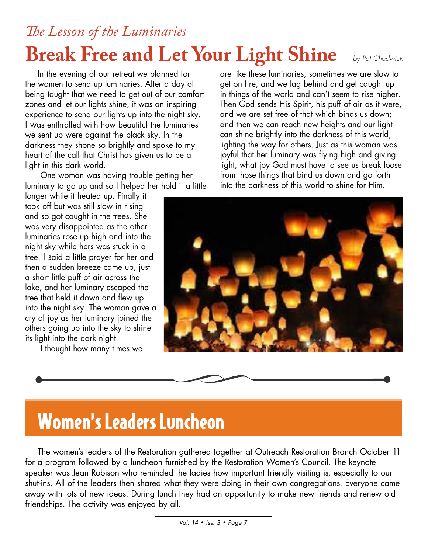## *The Lesson of the Luminaries* **Break Free and Let Your Light Shine** *by Pat Chadwick*

In the evening of our retreat we planned for the women to send up luminaries. After a day of being taught that we need to get out of our comfort zones and let our lights shine, it was an inspiring experience to send our lights up into the night sky. I was enthralled with how beautiful the luminaries we sent up were against the black sky. In the darkness they shone so brightly and spoke to my heart of the call that Christ has given us to be a light in this dark world.

 One woman was having trouble getting her luminary to go up and so I helped her hold it a little

longer while it heated up. Finally it took off but was still slow in rising and so got caught in the trees. She was very disappointed as the other luminaries rose up high and into the night sky while hers was stuck in a tree. I said a little prayer for her and then a sudden breeze came up, just a short little puff of air across the lake, and her luminary escaped the tree that held it down and flew up into the night sky. The woman gave a cry of joy as her luminary joined the others going up into the sky to shine its light into the dark night.

I thought how many times we

are like these luminaries, sometimes we are slow to get on fire, and we lag behind and get caught up in things of the world and can't seem to rise higher. Then God sends His Spirit, his puff of air as it were, and we are set free of that which binds us down; and then we can reach new heights and our light can shine brightly into the darkness of this world, lighting the way for others. Just as this woman was joyful that her luminary was flying high and giving light, what joy God must have to see us break loose from those things that bind us down and go forth into the darkness of this world to shine for Him.



## Women's Leaders Luncheon

The women's leaders of the Restoration gathered together at Outreach Restoration Branch October 11 for a program followed by a luncheon furnished by the Restoration Women's Council. The keynote speaker was Jean Robison who reminded the ladies how important friendly visiting is, especially to our shut-ins. All of the leaders then shared what they were doing in their own congregations. Everyone came away with lots of new ideas. During lunch they had an opportunity to make new friends and renew old friendships. The activity was enjoyed by all.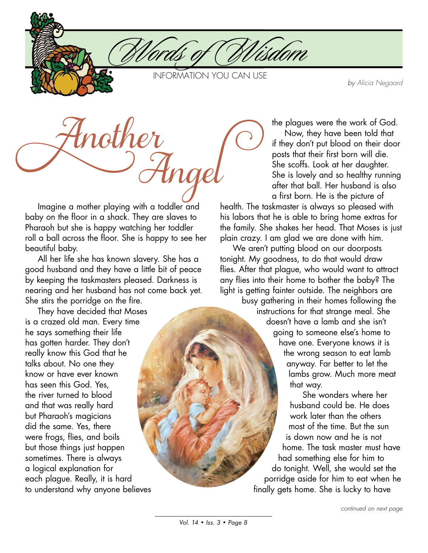*Another Angel*

Imagine a mother playing with a toddler and baby on the floor in a shack. They are slaves to Pharaoh but she is happy watching her toddler roll a ball across the floor. She is happy to see her beautiful baby.

All her life she has known slavery. She has a good husband and they have a little bit of peace by keeping the taskmasters pleased. Darkness is nearing and her husband has not come back yet. She stirs the porridge on the fire.

They have decided that Moses is a crazed old man. Every time he says something their life has gotten harder. They don't really know this God that he talks about. No one they know or have ever known has seen this God. Yes, the river turned to blood and that was really hard but Pharaoh's magicians did the same. Yes, there were frogs, flies, and boils but those things just happen sometimes. There is always a logical explanation for each plague. Really, it is hard to understand why anyone believes the plagues were the work of God.

*by Alicia Negaard*

Now, they have been told that if they don't put blood on their door posts that their first born will die. She scoffs. Look at her daughter. She is lovely and so healthy running after that ball. Her husband is also a first born. He is the picture of

health. The taskmaster is always so pleased with his labors that he is able to bring home extras for the family. She shakes her head. That Moses is just plain crazy. I am glad we are done with him.

We aren't putting blood on our doorposts tonight. My goodness, to do that would draw flies. After that plague, who would want to attract any flies into their home to bother the baby? The light is getting fainter outside. The neighbors are

busy gathering in their homes following the instructions for that strange meal. She doesn't have a lamb and she isn't going to someone else's home to have one. Everyone knows it is the wrong season to eat lamb anyway. Far better to let the lambs grow. Much more meat that way.

She wonders where her husband could be. He does work later than the others most of the time. But the sun is down now and he is not home. The task master must have had something else for him to do tonight. Well, she would set the porridge aside for him to eat when he finally gets home. She is lucky to have



INFORMATION YOU CAN USE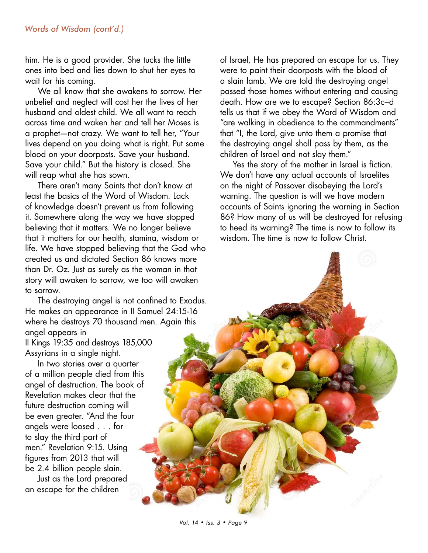him. He is a good provider. She tucks the little ones into bed and lies down to shut her eyes to wait for his coming.

We all know that she awakens to sorrow. Her unbelief and neglect will cost her the lives of her husband and oldest child. We all want to reach across time and waken her and tell her Moses is a prophet—not crazy. We want to tell her, "Your lives depend on you doing what is right. Put some blood on your doorposts. Save your husband. Save your child." But the history is closed. She will reap what she has sown.

There aren't many Saints that don't know at least the basics of the Word of Wisdom. Lack of knowledge doesn't prevent us from following it. Somewhere along the way we have stopped believing that it matters. We no longer believe that it matters for our health, stamina, wisdom or life. We have stopped believing that the God who created us and dictated Section 86 knows more than Dr. Oz. Just as surely as the woman in that story will awaken to sorrow, we too will awaken to sorrow.

The destroying angel is not confined to Exodus. He makes an appearance in II Samuel 24:15-16 where he destroys 70 thousand men. Again this angel appears in

II Kings 19:35 and destroys 185,000 Assyrians in a single night.

In two stories over a quarter of a million people died from this angel of destruction. The book of Revelation makes clear that the future destruction coming will be even greater. "And the four angels were loosed . . . for to slay the third part of men." Revelation 9:15. Using figures from 2013 that will be 2.4 billion people slain.

Just as the Lord prepared an escape for the children

of Israel, He has prepared an escape for us. They were to paint their doorposts with the blood of a slain lamb. We are told the destroying angel passed those homes without entering and causing death. How are we to escape? Section 86:3c–d tells us that if we obey the Word of Wisdom and "are walking in obedience to the commandments" that "I, the Lord, give unto them a promise that the destroying angel shall pass by them, as the children of Israel and not slay them."

Yes the story of the mother in Israel is fiction. We don't have any actual accounts of Israelites on the night of Passover disobeying the Lord's warning. The question is will we have modern accounts of Saints ignoring the warning in Section 86? How many of us will be destroyed for refusing to heed its warning? The time is now to follow its wisdom. The time is now to follow Christ.